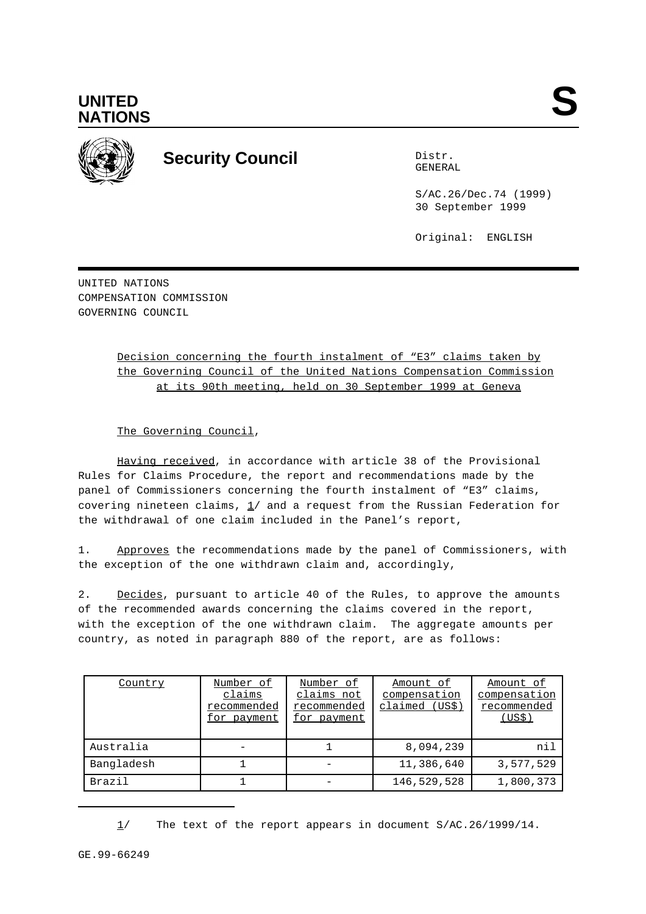



## **Security Council** Distribution Distribution

GENERAL

S/AC.26/Dec.74 (1999) 30 September 1999

Original: ENGLISH

UNITED NATIONS COMPENSATION COMMISSION GOVERNING COUNCIL

## Decision concerning the fourth instalment of "E3" claims taken by the Governing Council of the United Nations Compensation Commission at its 90th meeting, held on 30 September 1999 at Geneva

The Governing Council,

Having received, in accordance with article 38 of the Provisional Rules for Claims Procedure, the report and recommendations made by the panel of Commissioners concerning the fourth instalment of "E3" claims, covering nineteen claims,  $1/$  and a request from the Russian Federation for the withdrawal of one claim included in the Panel's report,

1. Approves the recommendations made by the panel of Commissioners, with the exception of the one withdrawn claim and, accordingly,

2. Decides, pursuant to article 40 of the Rules, to approve the amounts of the recommended awards concerning the claims covered in the report, with the exception of the one withdrawn claim. The aggregate amounts per country, as noted in paragraph 880 of the report, are as follows:

| Country    | Number of<br>claims<br>recommended<br>for payment | Number of<br>claims not<br>recommended<br>for payment | Amount of<br>compensation<br>claimed (US\$) | Amount of<br>compensation<br>recommended<br>(US\$) |
|------------|---------------------------------------------------|-------------------------------------------------------|---------------------------------------------|----------------------------------------------------|
| Australia  |                                                   |                                                       | 8,094,239                                   | nil                                                |
| Bangladesh |                                                   |                                                       | 11,386,640                                  | 3,577,529                                          |
| Brazil     |                                                   |                                                       | 146,529,528                                 | 1,800,373                                          |

<sup>1/</sup> The text of the report appears in document S/AC.26/1999/14.